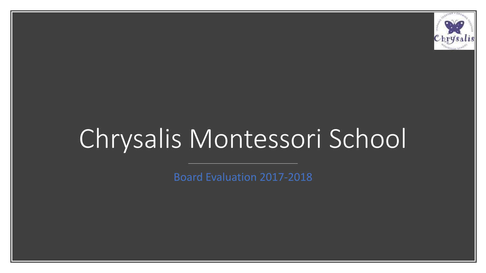

# Chrysalis Montessori School

Board Evaluation 2017-2018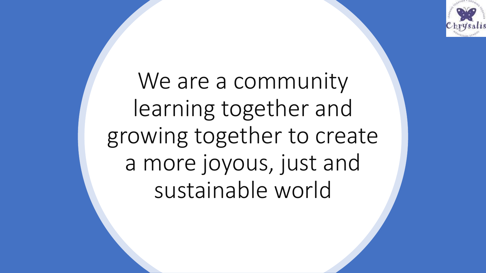

We are a community learning together and growing together to create a more joyous, just and sustainable world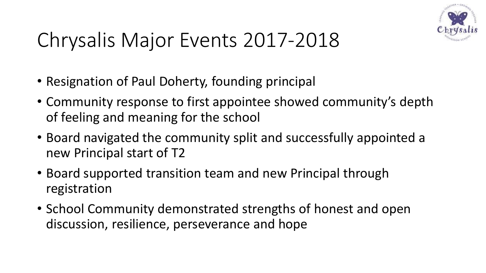

## Chrysalis Major Events 2017-2018

- Resignation of Paul Doherty, founding principal
- Community response to first appointee showed community's depth of feeling and meaning for the school
- Board navigated the community split and successfully appointed a new Principal start of T2
- Board supported transition team and new Principal through registration
- School Community demonstrated strengths of honest and open discussion, resilience, perseverance and hope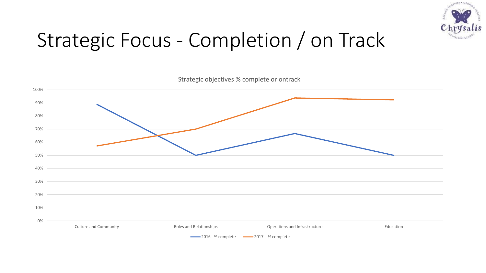

## Strategic Focus - Completion / on Track

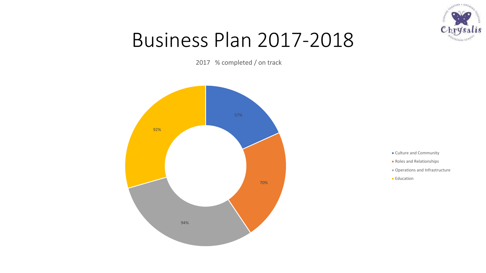

#### Business Plan 2017-2018

2017 % completed / on track



- **Culture and Community**
- **Roles and Relationships**
- Operations and Infrastructure
- **Education**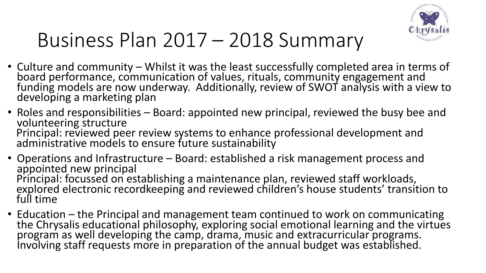

#### Business Plan 2017 – 2018 Summary

- Culture and community Whilst it was the least successfully completed area in terms of board performance, communication of values, rituals, community engagement and funding models are now underway. Additionally, review of SWOT analysis with a view to developing a marketing plan
- Roles and responsibilities Board: appointed new principal, reviewed the busy bee and volunteering structure Principal: reviewed peer review systems to enhance professional development and administrative models to ensure future sustainability
- Operations and Infrastructure Board: established a risk management process and appointed new principal Principal: focussed on establishing a maintenance plan, reviewed staff workloads, explored electronic recordkeeping and reviewed children's house students' transition to full time
- Education the Principal and management team continued to work on communicating the Chrysalis educational philosophy, exploring social emotional learning and the virtues program as well developing the camp, drama, music and extracurricular programs. Involving staff requests more in preparation of the annual budget was established.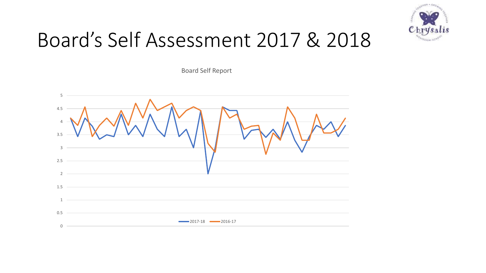

#### Board's Self Assessment 2017 & 2018

Board Self Report

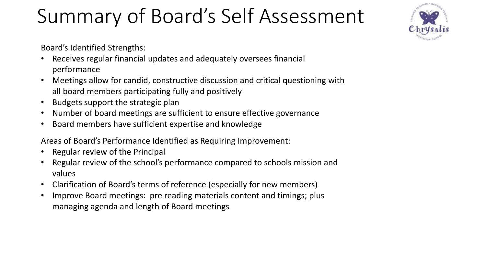## Summary of Board's Self Assessment



Board's Identified Strengths:

- Receives regular financial updates and adequately oversees financial performance
- Meetings allow for candid, constructive discussion and critical questioning with all board members participating fully and positively
- Budgets support the strategic plan
- Number of board meetings are sufficient to ensure effective governance
- Board members have sufficient expertise and knowledge

Areas of Board's Performance Identified as Requiring Improvement:

- Regular review of the Principal
- Regular review of the school's performance compared to schools mission and values
- Clarification of Board's terms of reference (especially for new members)
- Improve Board meetings: pre reading materials content and timings; plus managing agenda and length of Board meetings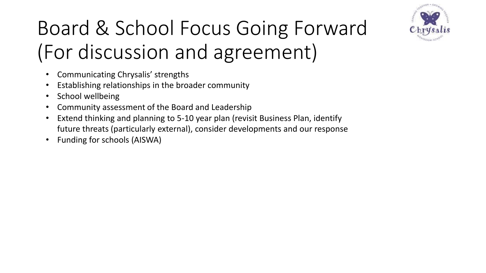

# Board & School Focus Going Forward (For discussion and agreement)

- Communicating Chrysalis' strengths
- Establishing relationships in the broader community
- School wellbeing
- Community assessment of the Board and Leadership
- Extend thinking and planning to 5-10 year plan (revisit Business Plan, identify future threats (particularly external), consider developments and our response
- Funding for schools (AISWA)